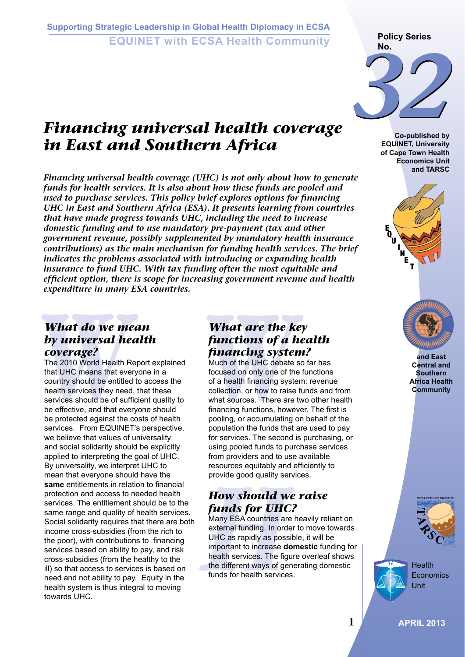### **Supporting Strategic Leadership in Global Health Diplomacy in ECSA EQUINET with ECSA Health Community**

# *Financing universal health coverage in East and Southern Africa*

*Financing universal health coverage (UHC) is not only about how to generate funds for health services. It is also about how these funds are pooled and used to purchase services. This policy brief explores options for financing UHC in East and Southern Africa (ESA). It presents learning from countries that have made progress towards UHC, including the need to increase domestic funding and to use mandatory pre-payment (tax and other government revenue, possibly supplemented by mandatory health insurance contributions) as the main mechanism for funding health services. The brief indicates the problems associated with introducing or expanding health insurance to fund UHC. With tax funding often the most equitable and efficient option, there is scope for increasing government revenue and health expenditure in many ESA countries.* 

#### *What do we mean by universal health coverage?*

**What do we mean What are the k**<br> **by universal health**<br> **coverage?**<br>
The 2010 World Health Report explained<br>
that UHC means that everyone in a focused on only one of th<br>
country should be entitled to access the<br>
health se The 2010 World Health Report explained that UHC means that everyone in a country should be entitled to access the health services they need, that these services should be of sufficient quality to be effective, and that everyone should be protected against the costs of health services. From EQUINET's perspective, we believe that values of universality and social solidarity should be explicitly applied to interpreting the goal of UHC. By universality, we interpret UHC to mean that everyone should have the **same** entitlements in relation to financial protection and access to needed health services. The entitlement should be to the same range and quality of health services. Social solidarity requires that there are both income cross-subsidies (from the rich to the poor), with contributions to financing services based on ability to pay, and risk cross-subsidies (from the healthy to the ill) so that access to services is based on need and not ability to pay. Equity in the health system is thus integral to moving towards UHC.

## *What are the key functions of a health financing system?*

Much of the UHC debate so far has focused on only one of the functions of a health financing system: revenue collection, or how to raise funds and from what sources. There are two other health financing functions, however. The first is pooling, or accumulating on behalf of the population the funds that are used to pay for services. The second is purchasing, or using pooled funds to purchase services from providers and to use available resources equitably and efficiently to provide good quality services.

# *How should we raise funds for UHC?*

**How should we How Should We see the Should We How Should We Many ESA countries are external funding. In order UHC as rapidly as poss important to increase depending the different ways of ge funds for health service** Many ESA countries are heavily reliant on external funding. In order to move towards UHC as rapidly as possible, it will be important to increase **domestic** funding for health services. The figure overleaf shows the different ways of generating domestic funds for health services.

**Policy Series No.**



**Co-published by EQUINET, University of Cape Town Health Economics Unit and TARSC**





**and East Central and Southern Africa Health Community**



**Health Economics** Unit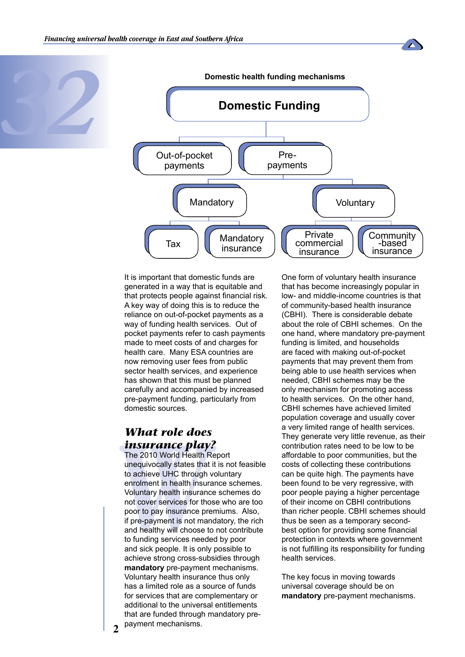





It is important that domestic funds are generated in a way that is equitable and that protects people against financial risk. A key way of doing this is to reduce the reliance on out-of-pocket payments as a way of funding health services. Out of pocket payments refer to cash payments made to meet costs of and charges for health care. Many ESA countries are now removing user fees from public sector health services, and experience has shown that this must be planned carefully and accompanied by increased pre-payment funding, particularly from domestic sources.

#### *What role does insurance play?*

**What role does**<br> **insurance play**<br>
The 2010 World Health F<br>
unequivocally states that<br>
to achieve UHC through<br>
enrolment in health insurance<br>
Voluntary health insurance<br>
not cover services for the<br>
poor to pay insurance p The 2010 World Health Report unequivocally states that it is not feasible to achieve UHC through voluntary enrolment in health insurance schemes. Voluntary health insurance schemes do not cover services for those who are too poor to pay insurance premiums. Also, if pre-payment is not mandatory, the rich and healthy will choose to not contribute to funding services needed by poor and sick people. It is only possible to achieve strong cross-subsidies through **mandatory** pre-payment mechanisms. Voluntary health insurance thus only has a limited role as a source of funds for services that are complementary or additional to the universal entitlements that are funded through mandatory prepayment mechanisms.

One form of voluntary health insurance that has become increasingly popular in low- and middle-income countries is that of community-based health insurance (CBHI). There is considerable debate about the role of CBHI schemes. On the one hand, where mandatory pre-payment funding is limited, and households are faced with making out-of-pocket payments that may prevent them from being able to use health services when needed, CBHI schemes may be the only mechanism for promoting access to health services. On the other hand, CBHI schemes have achieved limited population coverage and usually cover a very limited range of health services. They generate very little revenue, as their contribution rates need to be low to be affordable to poor communities, but the costs of collecting these contributions can be quite high. The payments have been found to be very regressive, with poor people paying a higher percentage of their income on CBHI contributions than richer people. CBHI schemes should thus be seen as a temporary secondbest option for providing some financial protection in contexts where government is not fulfilling its responsibility for funding health services.

The key focus in moving towards universal coverage should be on **mandatory** pre-payment mechanisms.

**2**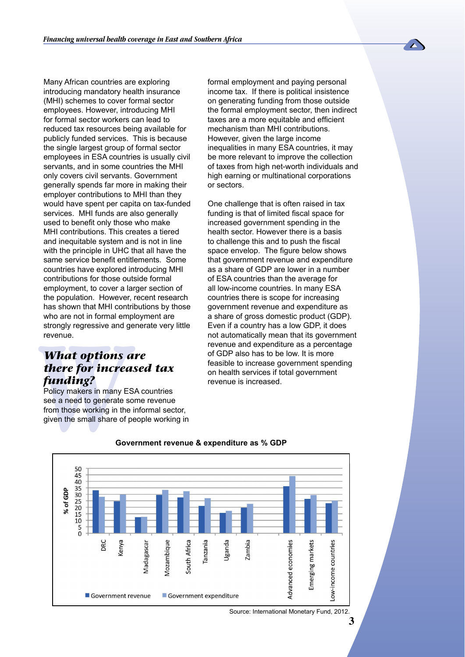Many African countries are exploring introducing mandatory health insurance (MHI) schemes to cover formal sector employees. However, introducing MHI for formal sector workers can lead to reduced tax resources being available for publicly funded services. This is because the single largest group of formal sector employees in ESA countries is usually civil servants, and in some countries the MHI only covers civil servants. Government generally spends far more in making their employer contributions to MHI than they would have spent per capita on tax-funded services. MHI funds are also generally used to benefit only those who make MHI contributions. This creates a tiered and inequitable system and is not in line with the principle in UHC that all have the same service benefit entitlements. Some countries have explored introducing MHI contributions for those outside formal employment, to cover a larger section of the population. However, recent research has shown that MHI contributions by those who are not in formal employment are strongly regressive and generate very little revenue.

#### *What options are there for increased tax funding?*

strongly regressive and g<br>revenue.<br>**What options**<br>**there for incred<br>funding?**<br>Policy makers in many E<br>see a need to generate s<br>from those working in the<br>given the small share of<br>Gov Policy makers in many ESA countries see a need to generate some revenue from those working in the informal sector, given the small share of people working in formal employment and paying personal income tax. If there is political insistence on generating funding from those outside the formal employment sector, then indirect taxes are a more equitable and efficient mechanism than MHI contributions. However, given the large income inequalities in many ESA countries, it may be more relevant to improve the collection of taxes from high net-worth individuals and high earning or multinational corporations or sectors.

One challenge that is often raised in tax funding is that of limited fiscal space for increased government spending in the health sector. However there is a basis to challenge this and to push the fiscal space envelop. The figure below shows that government revenue and expenditure as a share of GDP are lower in a number of ESA countries than the average for all low-income countries. In many ESA countries there is scope for increasing government revenue and expenditure as a share of gross domestic product (GDP). Even if a country has a low GDP, it does not automatically mean that its government revenue and expenditure as a percentage of GDP also has to be low. It is more feasible to increase government spending on health services if total government revenue is increased.



#### **Government revenue & expenditure as % GDP**

Source: International Monetary Fund, 2012.